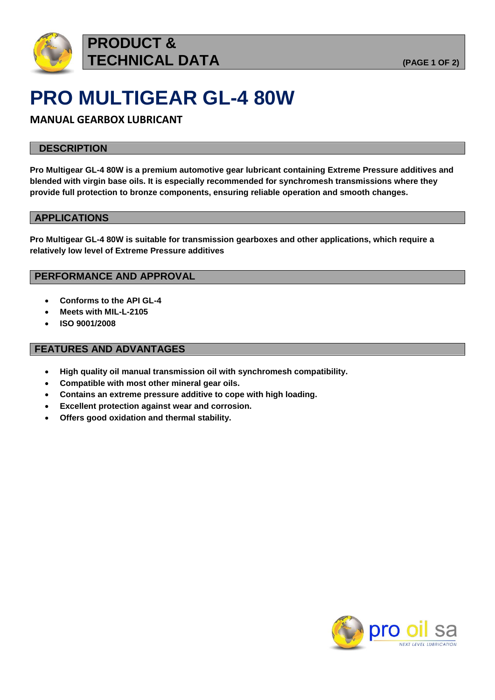

## **PRODUCT & TECHNICAL DATA (PAGE 1 OF 2)**

# **PRO MULTIGEAR GL-4 80W**

### **MANUAL GEARBOX LUBRICANT**

#### **DESCRIPTION**

**Pro Multigear GL-4 80W is a premium automotive gear lubricant containing Extreme Pressure additives and blended with virgin base oils. It is especially recommended for synchromesh transmissions where they provide full protection to bronze components, ensuring reliable operation and smooth changes.**

#### **APPLICATIONS**

**Pro Multigear GL-4 80W is suitable for transmission gearboxes and other applications, which require a relatively low level of Extreme Pressure additives**

#### **PERFORMANCE AND APPROVAL**

- **Conforms to the API GL-4**
- **Meets with MIL-L-2105**
- **ISO 9001/2008**

#### **FEATURES AND ADVANTAGES**

- **High quality oil manual transmission oil with synchromesh compatibility.**
- **Compatible with most other mineral gear oils.**
- **Contains an extreme pressure additive to cope with high loading.**
- **Excellent protection against wear and corrosion.**
- **Offers good oxidation and thermal stability.**